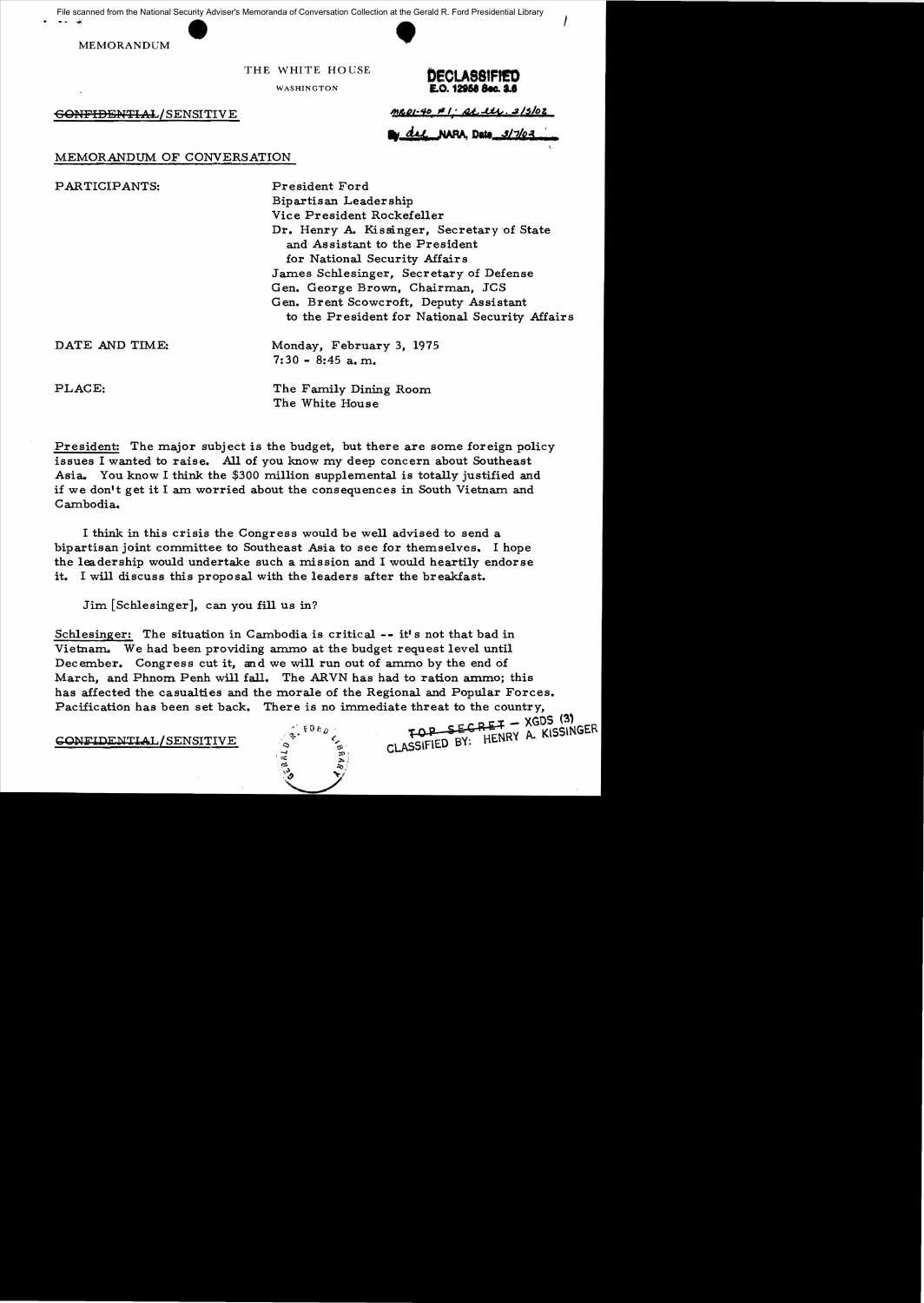File scanned from the National Security Adviser's Memoranda of Conversation Collection at the Gerald R. Ford Presidential Library<br>MEMORANDUM<br>THE WHITE HOUSE

MEMORANDUM



THE WHITE HOUSE



I

 $\frac{60~\text{FF}10~\text{FN}}{4.444.315}$  SENSITIVE **41.100** 

\_~DatI *.wJJ,"1l1.i* : 'U

# MEMORANDUM OF CONVERSATION

PARTICIPANTS: President Ford Bipartisan Leadership Vice President Rockefeller Dr. Henry A. Kissinger, Secretary 'of State and Assistant to the President for National Security Affairs James Schlesinger, Secretary of Defense Gen. George Brown, Chairman, JCS Gen. Brent Scowcroft, Deputy Assistant to the President for National Security Affairs

DATE AND TIME: Monday, February 3, 1975

 $7:30 - 8:45$  a.m.

PLACE: The Family Dining Room The White House

President: The major subject is the budget, but there are some foreign policy issues I wanted to raise. All of you know my deep concern about Southeast Asia. You know I think the \$300 million supplemental is totally justified and if we don't get it I am worried about the consequences in South Vietnam and Cambodia.

I think in this crisis the Congress would be well advised to send a bipartisan joint committee to Southeast Asia to see for themselves. I hope the leadership would undertake such a mission and I would heartily endorse it. I will discuss this proposal with the leaders after the breakfast.

Jim [Schlesinger], can you fill us in?

Schlesinger: The situation in Cambodia is critical -- it's not that bad in Vietnam. We had been providing ammo at the budget request level until December. Congress cut it, and we will run out of ammo by the end of March, and Phnom Penh will fall. The ARVN has had to ration ammo; this has affected the casualties and the morale of the Regional and Popular Forces. Pacification has been set back. There is no immediate threat to the country,  $FOP$  SECRET - XGDS (3)

CONFIDENTIAL/SENSITIVE  $\int e^{x \cdot t^{10R} y} \cdot \int_{C_1}^{C_2}$  rop Section A. KISSINGER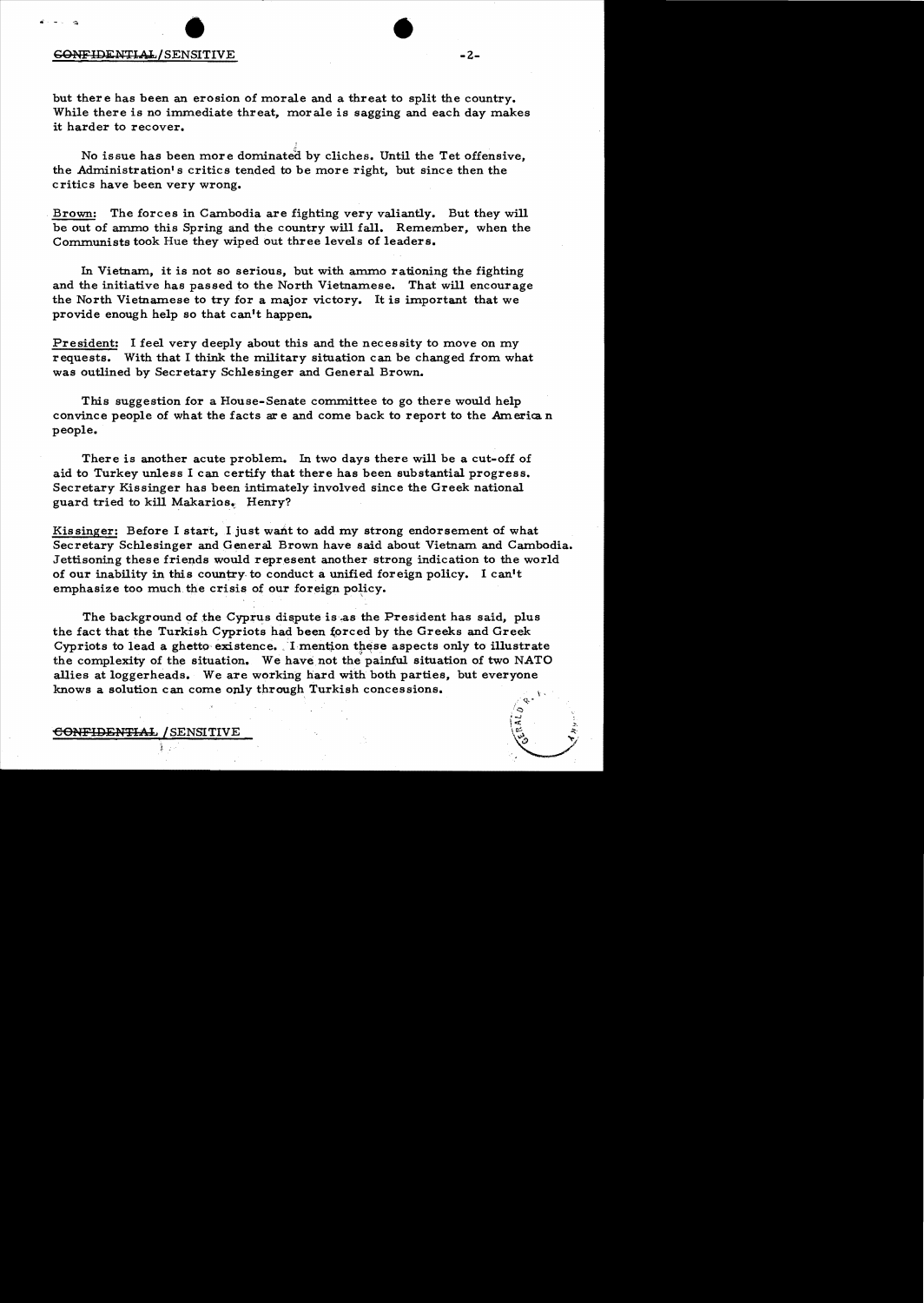# GONFlDi:NTlo.Y:./SENSITIVE • • -2

but there has been an erosion of morale and a threat to split the country. While there is no immediate threat, morale is sagging and each day makes it harder to recover.

I

No issue has been more dominated by cliches. Until the Tet offensive, the Administration's critics tended to be more right, but since then the critics have been very wrong.

Brown: The forces in Cambodia are fighting very valiantly. But they will be out of ammo this Spring and the country will fall. Remember, when the Communists took Hue they wiped out three levels of leaders.

In Vietnam, it is not so serious, but with ammo rationing the fighting and the initiative has passed to the North Vietnamese. That will encourage the North Vietnamese to try for a major victory. It is important that we provide enough help so that can't happen.

President: I feel very deeply about this and the necessity to move on my requests. With that I think the military situation can be changed from what was outlined by Secretary Schlesinger and General Brown.

This suggestion for a House-Senate committee to go there would help convince people of what the facts are and come back to report to the American people.

There is another acute problem.. In two days there will be a cut-off of aid to Turkey unless I can certify that there has been substantial progress. Secretary Kissinger has been intimately involved since the Greek national guard tried to kill Makarios. Henry?

Kissinger: Before I start, I just want to add my strong endorsement of what Secretary Schlesinger and General Brown have said about Vietnam and Cambodia. Jettisoning these friends would represent another strong indication to the world of our inability in this country, to conduct a unified foreign policy. I can't emphasize too much the crisis of our foreign policy.

The background of the Cyprus dispute is as the President has said, plus the fact that the Turkish Cypriots had been forced by the Greeks and Greek Cypriots to lead a ghetto existence. I mention these aspects only to illustrate the complexity of the situation. We have not the painful situation of two NATO allies at loggerheads. We are working hard with both parties, but everyone knows a solution can come only through Turkish concessions.  $q, \cdot$ 

## CONFIDENTIAL / SENSITIVE

 $\mathcal{L}^*$ 

*t....*.J ::  $\vert \mathbf{z} \vert$  .  $\mathbf{z}$ 

**, 1990**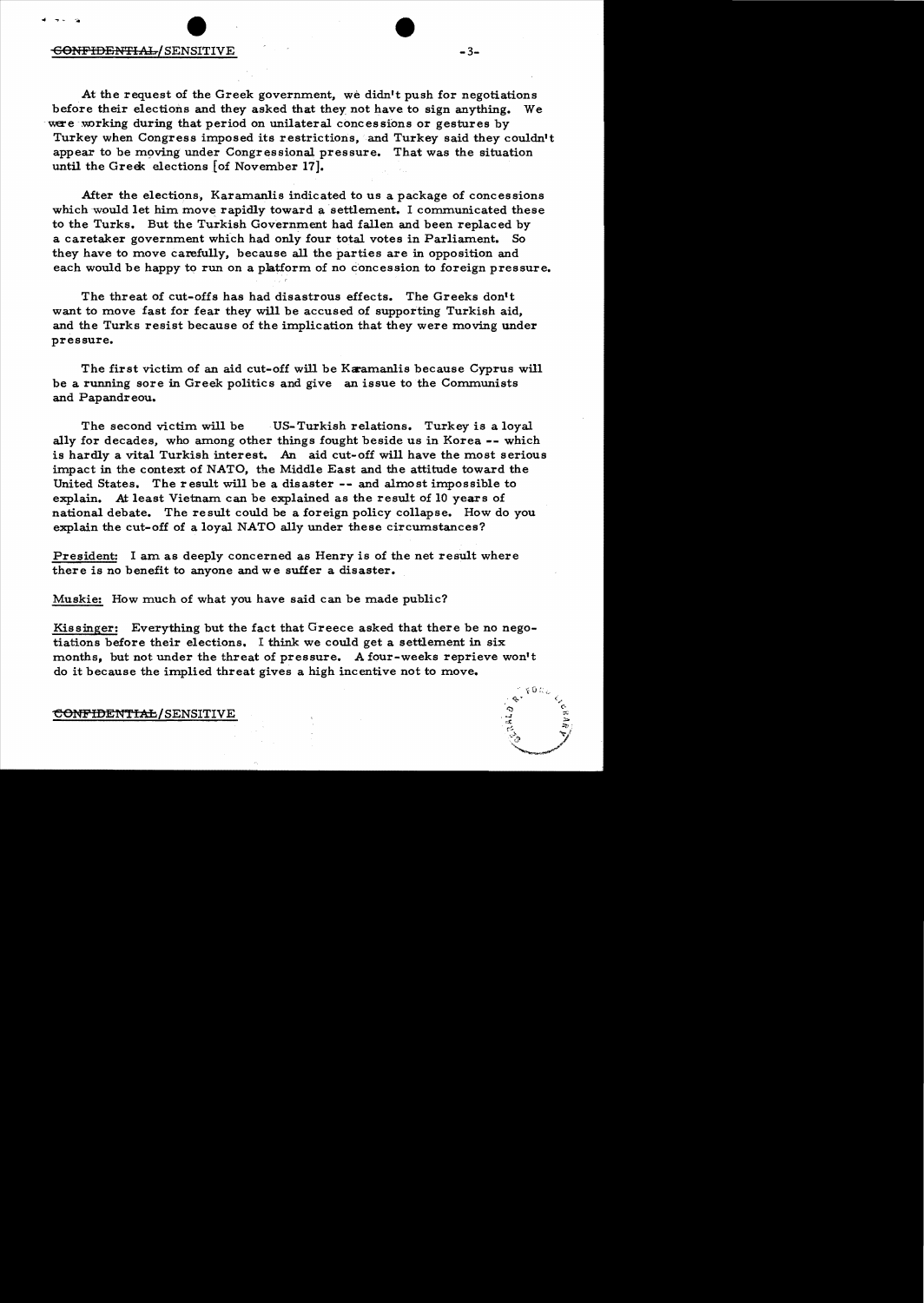### <del>CONFIDENTIAL/</del>SENSITIVE -3-

At the request of the Greek government, we didn't push for negotiations before their elections and they asked that they not have to sign anything. We were working during that period on unilateral concessions or gestures by Turkey when Congress imposed its restrictions, and Turkey said they couldn't appear to be moving under Congressional pressure. That was the situation until the Greek elections [of November 17].

After the elections, Karamanlis indicated to us a package of concessions which would let him move rapidly toward a settlement. I communicated these to the Turks. But the Turkish Government had fallen and been replaced by a caretaker government which had only four total votes in Parliament. So they have to move carefully, because all the parties are in opposition and each would be happy to run on a platform of no concession to foreign pressure.

The threat of cut-offs has had disastrous effects. The Greeks don't want to move fast for fear they will be accused of supporting Turkish aid, and the Turks resist because of the implication that they were moving under pressure.

The first victim of an aid cut-off will be Karamanlis because Cyprus will be a running sore in Greek politics and give an issue to the Communists and Papandreou.

The second victim will be US- Turkish relations. Turkey is a loyal ally for decades, who among other things fought beside us in Korea **--** which is hardly a vital Turkish interest. An aid cut-off will have the most serious impact in the context of NATO, the Middle East and the attitude toward the United States. The result will be a disaster **--** and almost impossible to explain. At least Vietnam can be explained as the result of 10 years of national debate. The result could be a foreign policy collapse. How do you explain the cut-off of a loyal NATO ally under these circumstances?

President: I am as deeply concerned as Henry is of the net result where there is no benefit to anyone and we suffer a disaster.

Muskie: How much of what you have said can be made public?

Kissinger: Everything but the fact that Greece asked that there be no negotiations before their elections. I think we could get a settlement in six months, but not under the threat of pressure. A four-weeks reprieve won't do it because the implied threat gives a high incentive not to move.

## CONFIDENTIAL/SENSITIVE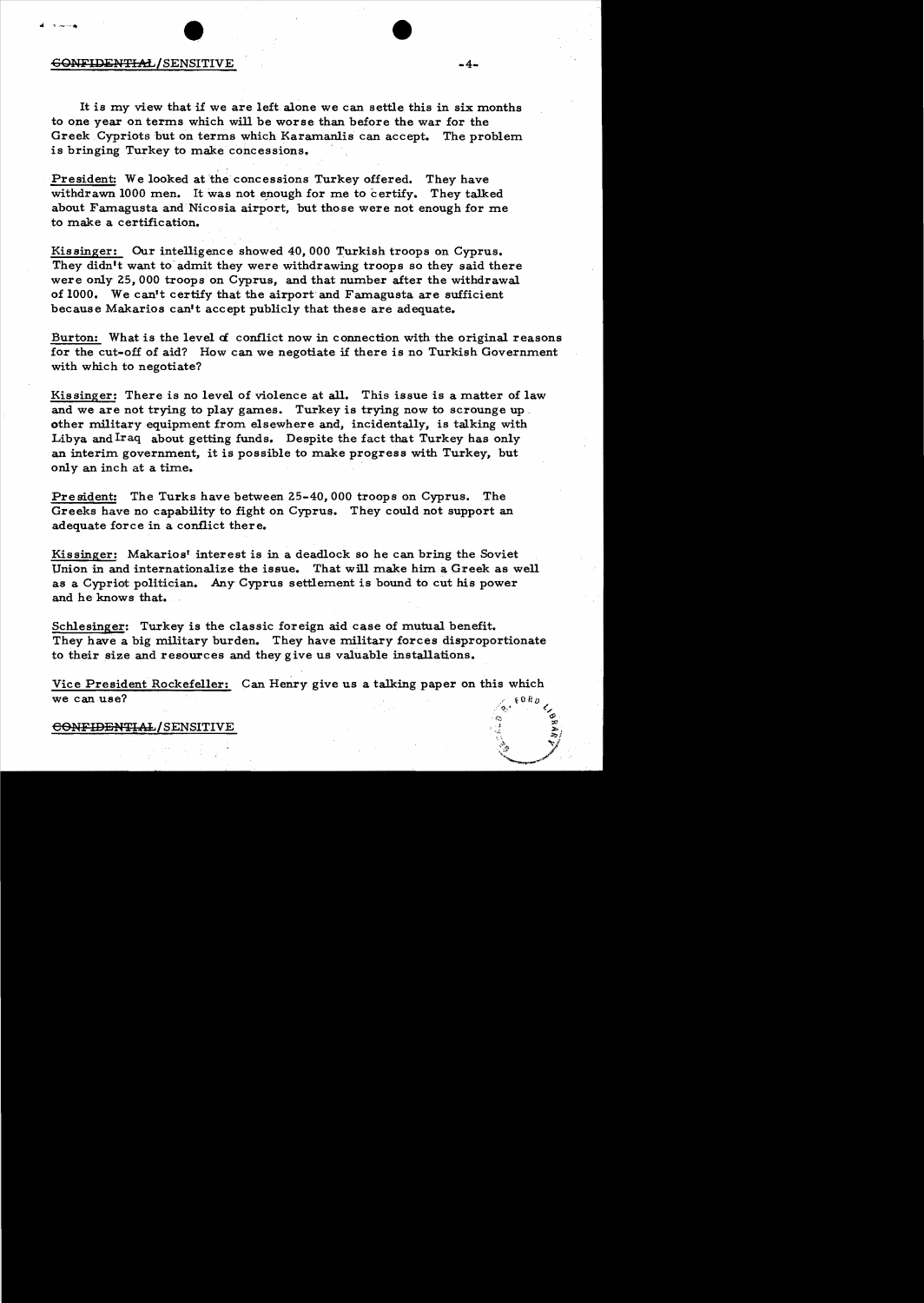# SONFIDENTIAL/SENSITIVE

It is my view that if we are left alone we can settle this in six months to one year on terms which will be worse than before the war for the Greek Cypriots but on terms which Karamanlis can accept. The problem is bringing Turkey to make concessions. '

 $-4-$ 

President: We looked at 'the concessions Turkey offered. They have withdrawn 1000 men. It was not enough for me to certify. They talked about Famagusta and Nicosia airport, but those were not enough for me to make a certification.

Kissinger: Our intelligence showed 40,000 Turkish troops on Cyprus. They didn't want to admit they were withdrawing troops so they said there were only Z5, 000 troops on Cyprus, and that number after the withdrawal of 1000. We can't certify that the airport and Famagusta are sufficient because Makarios can't accept publicly that these are adequate.

Burton: What is the level *d* conflict now in connection with the original reasons for the cut-off of aid? How can we negotiate if there is no Turkish Government with which to negotiate?

Kissinger: There is no level of violence at **all.** This issue is a matter of law and we are not trying to play games. Turkey is trying now to scrounge up. other military equipment from elsewhere and, incidentally, is talking with Libya and Iraq about getting funds. Despite the fact that Turkey has only an interim government, it is possible to make progress with Turkey, but only an inch at a time.

President: The Turks have between Z5-40, 000 troops on Cyprus. The Greeks have no capability to fight on Cyprus. They could not support an adequate force in a conflict there.

Kissinger: Makarios' interest is in a deadlock so he can bring the Soviet Union in and internationalize the issue. That will make him a Greek as well as a Cypriot politician. Any Cyprus settlement is bound to cut his power and he knows that.

Schlesinger: Turkey is the classic foreign aid case of mutual benefit. They have a big military burden. They have military forces disproportionate to their size and resources and they give us valuable installations.

Vice President Rockefeller: Can Henry give us a talking paper on this which we can use?

### CONFIDENTIAL/SENSITIVE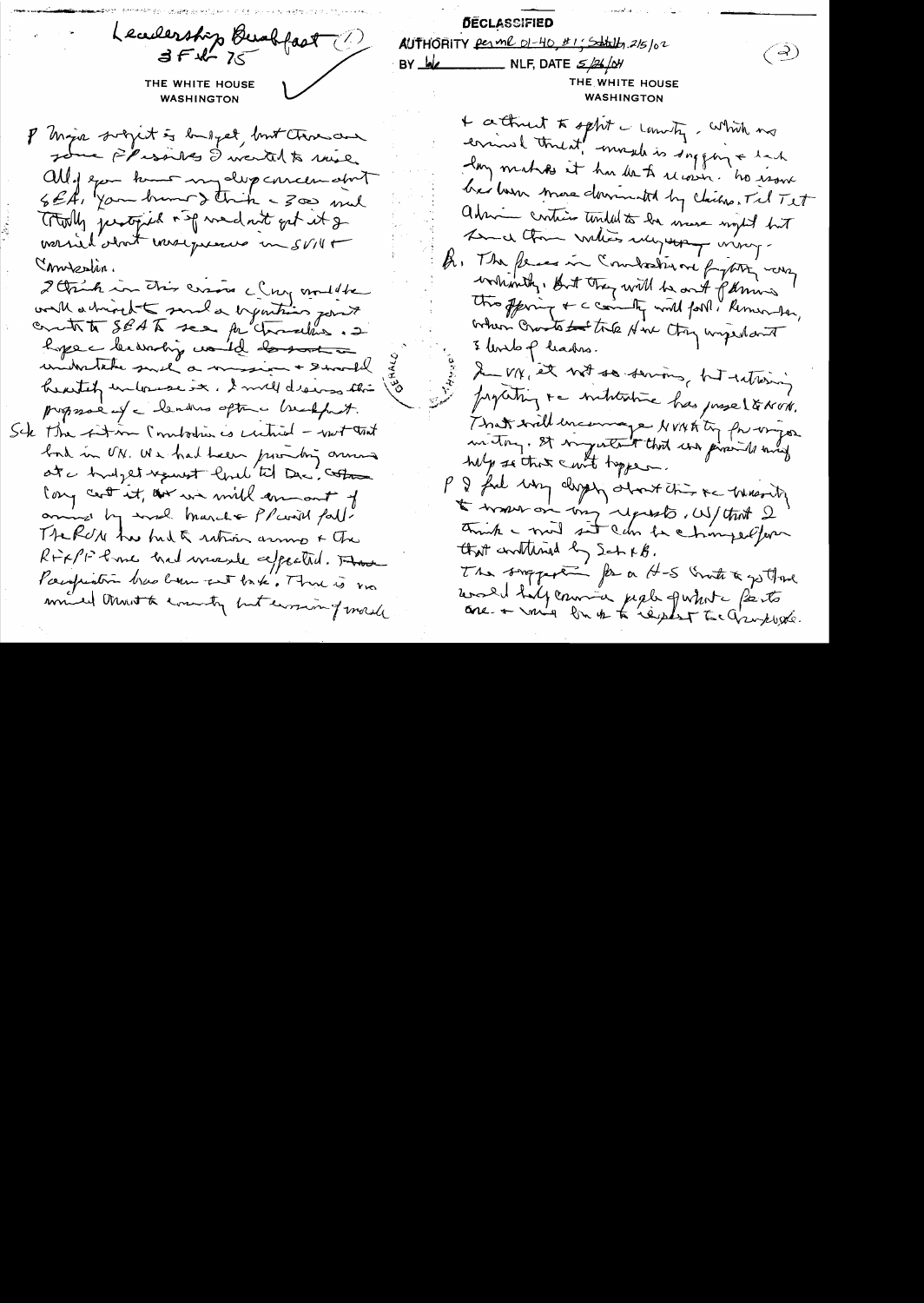**DECLASSIFIED** Leadership Burkfast AUTHORITY Perme 01-40, #1; Satally, 2/5/02  $\left(\frac{3}{2}\right)$ BY  $\underline{b}$  MLF, DATE  $\leq$  /26/04 THE WHITE HOUSE THE WHITE HOUSE **WASHINGTON WASHINGTON** + attract to sphit - commity, which ms P Major subject of londget, but those and errinal threat! morela is suggery + back Jour Flissiles I would to mie lay makes it hu de to receive ho user all of example my deep correction about her har more dominated by claims, Tel Tet Et, you hunt think - 300 mil admin contient tended to be made night but Totally justified and wednet get it g Am a tom vales mysery viny. worsied about werdqueens in SVIII A. The fences in Combodiune fythis was morestin. whantly, But they will be out parmis I think in this cross clay modelle this offering + a commity world for i Kerner to, with a trivit and a tymting point boken crossto to the Hire Otry ungerland 3 Unito p leaders. hope - leavaring would donot a In vix, et not so servons, hat retiring universale such a mission + Swamp hearter unlowere it. I mill dreams this properting to introduce has preseltation. proposa ef a lendres optimes breakfast. That will encourage NVNA ty for organ Sck the fit m (intortion is untired - with that in they. It ingentent that was provided and bord in UN. We had been probing one help so that court toppen. at a hudget request lord til De coton P & ful way days obout this is warding Cong cent it, our we will commant of I tritted the, doing upon to work to aring by word march & Planil fall. think - mind sit can be chimpedfun THERON has but of ration arrived & the that contained by Sch KB. RFXPF Poince had wasale expected. The The support for a H-S Grate & gotting Pacification tras been not take. There is no would half commence people quinte parts minded throut to comenty but ensuing morale one + mis link to replay to Graphet.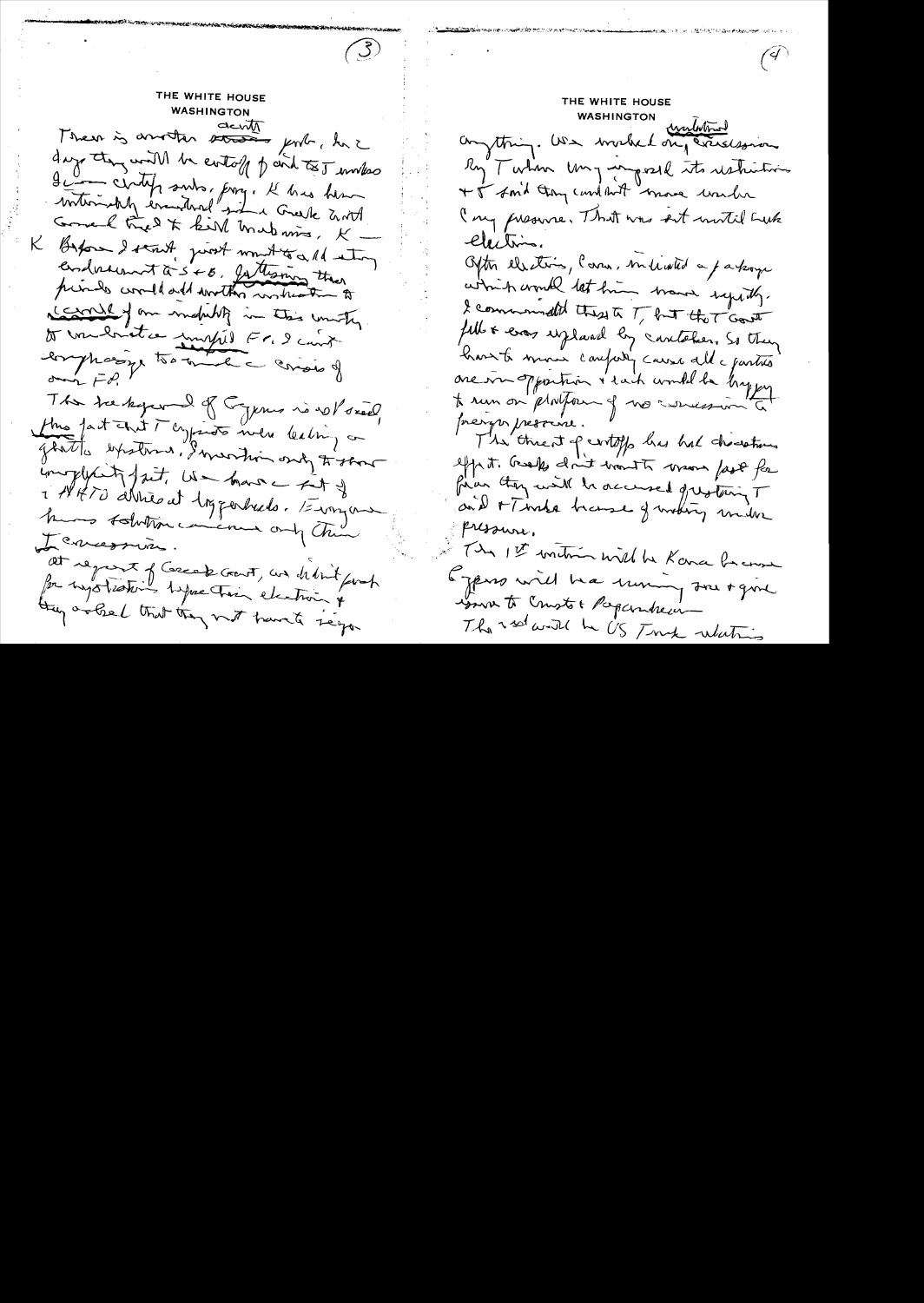THE WHITE HOUSE **WASHINGTON** Then is another streams genter, here days they will be entoff of and to I makes Je centificants, prog. Il has here Good tries to kill make mis, K K Byfore I start, prost won't to a 11 etoy endorsement à 5 + 8, la termina there primes conded and worther wishestern to context on mobility in this unity Do Unidado compil Fr. 9 com longhasing to the the consus of om  $\bar{P}$ The trentique of Cyprus no voloxed, this fact that I crypted to men lealing on glatte expetence, I wertin only to show inoplycity fait, we have - that of 1 18470 Arrivant loggerhade. Everyone knows tolution cincinna only Chin Leversion. at report of Correct Good, we delink finch for typotesting type their electron of they are bel that they must tranch segar

 $\bigcirc$ 

THE WHITE HOUSE WASHINGTON WestWhite Ry Turkin Ung mysell its restrictions +5 Amid they cand but more under ( my preserve. That was set with Luke Clection. Often elsetions, Cara, millated a parkage admich would let him momen systily. I commanded these to T, but the T Gouth fell & ever uplaced by cantaber. So they have to move compary cause all e partir one in opportun i said would be bypy te run on platform of no concession à preryer pressione. The threat of centify has had charactions effrit. Greek don't trout to more fast for finan they will be accused greating T and + Thaka because of mothery miller pressure. In 1st unition will be Kana become Egens will be uning Jour + gml women to Comptot Paparaheim The red with he US Tunk whatis

 $\sqrt{4}$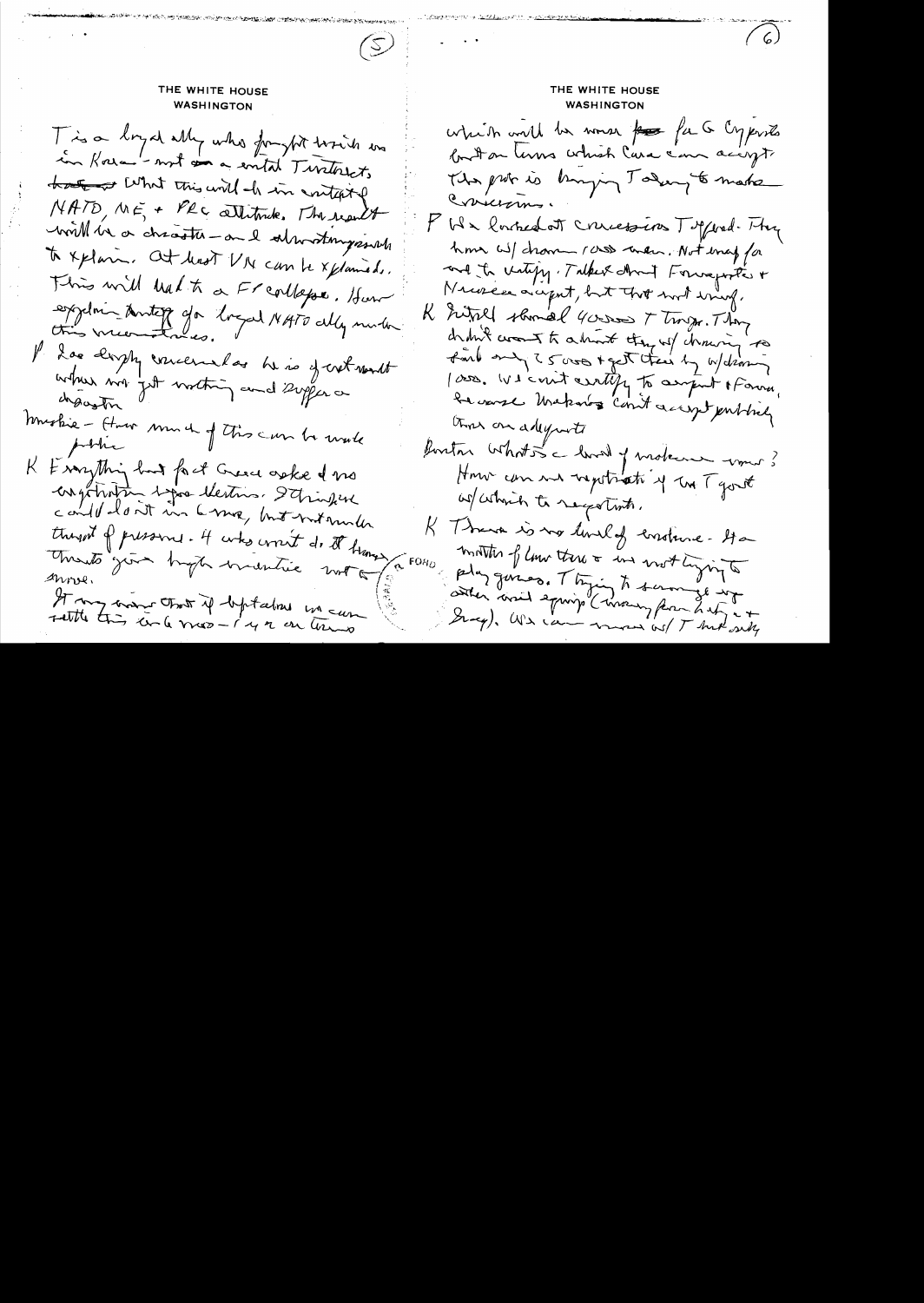# THE WHITE HOUSE WASHINGTON

 $\mathcal{L}(\mathcal{Z})$ 

T is a long of ally who forght toxich was in Kora-'- not an a entit Turtorists that what this will do in contained NATO, ME, + PRC allitmete. The result will be a chicathe - and alwardingsouth to xplain. At least VI can be xplaneds. This will halt a Freallapse. How exploi anteg da logal NATO ally moth Il doe tophy concernatos he is of cret wont where my get mothing and supporte mustice - How monde of this can be write K & say thing had fact Greece aske I no engetratin spor lectures. It infine could loat in 6 ma, but without thought of pressure. It was croit do it branged to FORD Mento"join trapa inventie motor It my more that if beptalme in can

THE WHITE HOUSE **WASHINGTON** which will be worse for far a Cyproto but on laws which lara can accept The probe is knowing Taking to make Cricians. F We lowhed at concessions Toppood. Hy home will channel ross when. Not enay for and to viting, Take about Formaporte + Necesca accept, but that most sing, K ritill should 4 cross T trops. They drawn crown to admint they will chroning to find any 25 was + get their by w/diam lass. We count certify to anywet of somme, be warst Unakaros count accept publicly those on adequate fontar what is a loved of moteur would How can no report of the Tyout w/ which to secolists. K Thank is no lovely constance-Ha months of low there & in not ligning to play gums. They to summer in Gray), Wis can man wil That only

 $(6)$